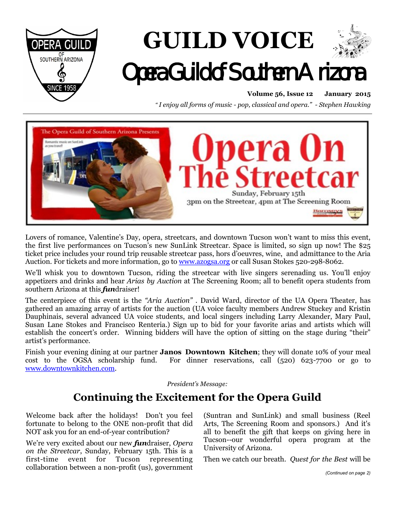

# **GUILD VOICE**  Opera Guild of Southern Arizona

**Volume 56, Issue 12 January 2015**

*" I enjoy all forms of music - pop, classical and opera." - Stephen Hawking*



Lovers of romance, Valentine's Day, opera, streetcars, and downtown Tucson won't want to miss this event, the first live performances on Tucson's new SunLink Streetcar. Space is limited, so sign up now! The \$25 ticket price includes your round trip reusable streetcar pass, hors d'oeuvres, wine, and admittance to the Aria Auction. For tickets and more information, go to [www.azogsa.org](http://www.azogsa.org) or call Susan Stokes 520-298-8062.

We'll whisk you to downtown Tucson, riding the streetcar with live singers serenading us. You'll enjoy appetizers and drinks and hear *Arias by Auction* at The Screening Room; all to benefit opera students from southern Arizona at this *fun*draiser!

The centerpiece of this event is the *"Aria Auction"* . David Ward, director of the UA Opera Theater, has gathered an amazing array of artists for the auction (UA voice faculty members Andrew Stuckey and Kristin Dauphinais, several advanced UA voice students, and local singers including Larry Alexander, Mary Paul, Susan Lane Stokes and Francisco Renteria.) Sign up to bid for your favorite arias and artists which will establish the concert's order. Winning bidders will have the option of sitting on the stage during "their" artist's performance.

Finish your evening dining at our partner **Janos Downtown Kitchen**; they will donate 10% of your meal cost to the OGSA scholarship fund. For dinner reservations, call (520) 623-7700 or go to [www.downtownkitchen.com.](http://www.downtownkitchen.com)

*President's Message:*

# **Continuing the Excitement for the Opera Guild**

Welcome back after the holidays! Don't you feel fortunate to belong to the ONE non-profit that did NOT ask you for an end-of-year contribution?

We're very excited about our new *fun*draiser, *Opera on the Streetcar*, Sunday, February 15th. This is a first-time event for Tucson representing collaboration between a non-profit (us), government (Suntran and SunLink) and small business (Reel Arts, The Screening Room and sponsors.) And it's all to benefit the gift that keeps on giving here in Tucson--our wonderful opera program at the University of Arizona.

Then we catch our breath. *Quest for the Best* will be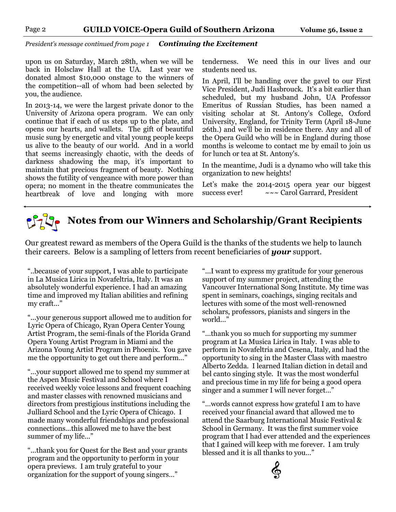*President's message continued from page 1 Continuing the Excitement* 

upon us on Saturday, March 28th, when we will be back in Holsclaw Hall at the UA. Last year we donated almost \$10,000 onstage to the winners of the competition--all of whom had been selected by you, the audience.

In 2013-14, we were the largest private donor to the University of Arizona opera program. We can only continue that if each of us steps up to the plate, and opens our hearts, and wallets. The gift of beautiful music sung by energetic and vital young people keeps us alive to the beauty of our world. And in a world that seems increasingly chaotic, with the deeds of darkness shadowing the map, it's important to maintain that precious fragment of beauty. Nothing shows the futility of vengeance with more power than opera; no moment in the theatre communicates the heartbreak of love and longing with more

tenderness. We need this in our lives and our students need us.

In April, I'll be handing over the gavel to our First Vice President, Judi Hasbrouck. It's a bit earlier than scheduled, but my husband John, UA Professor Emeritus of Russian Studies, has been named a visiting scholar at St. Antony's College, Oxford University, England, for Trinity Term (April 18-June 26th.) and we'll be in residence there. Any and all of the Opera Guild who will be in England during those months is welcome to contact me by email to join us for lunch or tea at St. Antony's.

In the meantime, Judi is a dynamo who will take this organization to new heights!

Let's make the 2014-2015 opera year our biggest success ever!  $\sim \sim$  Carol Garrard, President

# **Notes from our Winners and Scholarship/Grant Recipients**

Our greatest reward as members of the Opera Guild is the thanks of the students we help to launch their careers. Below is a sampling of letters from recent beneficiaries of *your* support.

"..because of your support, I was able to participate in La Musica Lirica in Novafeltria, Italy. It was an absolutely wonderful experience. I had an amazing time and improved my Italian abilities and refining my craft..."

"...your generous support allowed me to audition for Lyric Opera of Chicago, Ryan Opera Center Young Artist Program, the semi-finals of the Florida Grand Opera Young Artist Program in Miami and the Arizona Young Artist Program in Phoenix. You gave me the opportunity to get out there and perform..."

"...your support allowed me to spend my summer at the Aspen Music Festival and School where I received weekly voice lessons and frequent coaching and master classes with renowned musicians and directors from prestigious institutions including the Julliard School and the Lyric Opera of Chicago. I made many wonderful friendships and professional connections...this allowed me to have the best summer of my life..."

"...thank you for Quest for the Best and your grants program and the opportunity to perform in your opera previews. I am truly grateful to your organization for the support of young singers…"

"...I want to express my gratitude for your generous support of my summer project, attending the Vancouver International Song Institute. My time was spent in seminars, coachings, singing recitals and lectures with some of the most well-renowned scholars, professors, pianists and singers in the world…"

"...thank you so much for supporting my summer program at La Musica Lirica in Italy. I was able to perform in Novafeltria and Cesena, Italy, and had the opportunity to sing in the Master Class with maestro Alberto Zedda. I learned Italian diction in detail and bel canto singing style. It was the most wonderful and precious time in my life for being a good opera singer and a summer I will never forget…"

"…words cannot express how grateful I am to have received your financial award that allowed me to attend the Saarburg International Music Festival & School in Germany. It was the first summer voice program that I had ever attended and the experiences that I gained will keep with me forever. I am truly blessed and it is all thanks to you…"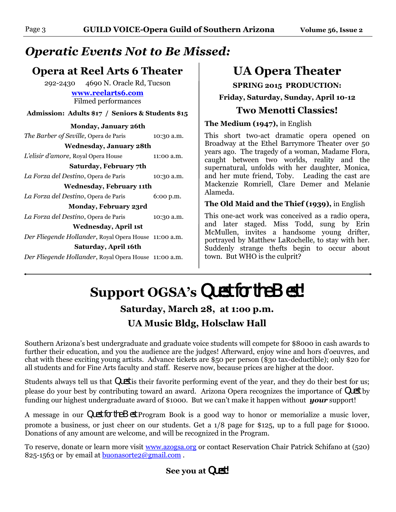# *Operatic Events Not to Be Missed:*

# **Opera at Reel Arts 6 Theater**

292-2430 4690 N. Oracle Rd, Tucson

**[www.reelarts6.com](http://www.reelarts6.com)** Filmed performances

**Admission: Adults \$17 / Seniors & Students \$15**

### **Monday, January 26th** *The Barber of Seville, Opera de Paris* 10:30 a.m. **Wednesday, January 28th** *L'elisir d'amore, Royal Opera House* 11:00 a.m. **Saturday, February 7th** *La Forza del Destino*, Opera de Paris 10:30 a.m. **Wednesday, February 11th** *La Forza del Destino*, Opera de Paris 6:00 p.m. **Monday, February 23rd** *La Forza del Destino*, Opera de Paris 10:30 a.m. **Wednesday, April 1st** *Der Fliegende Hollander*, Royal Opera House 11:00 a.m. **Saturday, April 16th** *Der Fliegende Hollander*, Royal Opera House 11:00 a.m.

# **UA Opera Theater**

**SPRING 2015 PRODUCTION:**

**Friday, Saturday, Sunday, April 10-12**

# **Two Menotti Classics!**

**The Medium (1947),** in English

This short two-act dramatic opera opened on Broadway at the Ethel Barrymore Theater over 50 years ago. The tragedy of a woman, Madame Flora, caught between two worlds, reality and the supernatural, unfolds with her daughter, Monica, and her mute friend, Toby. Leading the cast are Mackenzie Romriell, Clare Demer and Melanie Alameda.

### **The Old Maid and the Thief (1939),** in English

This one-act work was conceived as a radio opera, and later staged. Miss Todd, sung by Erin McMullen, invites a handsome young drifter, portrayed by Matthew LaRochelle, to stay with her. Suddenly strange thefts begin to occur about town. But WHO is the culprit?

**Support OGSA's** Quest for the Best! **Saturday, March 28, at 1:oo p.m. UA Music Bldg, Holsclaw Hall** 

Southern Arizona's best undergraduate and graduate voice students will compete for \$8000 in cash awards to further their education, and you the audience are the judges! Afterward, enjoy wine and hors d'oeuvres, and chat with these exciting young artists. Advance tickets are \$50 per person (\$30 tax-deductible); only \$20 for all students and for Fine Arts faculty and staff. Reserve now, because prices are higher at the door.

Students always tell us that Quest is their favorite performing event of the year, and they do their best for us; please do your best by contributing toward an award. Arizona Opera recognizes the importance of Quest by funding our highest undergraduate award of \$1000. But we can't make it happen without *your* support!

A message in our Quest for the Best Program Book is a good way to honor or memorialize a music lover, promote a business, or just cheer on our students. Get a 1/8 page for \$125, up to a full page for \$1000. Donations of any amount are welcome, and will be recognized in the Program.

To reserve, donate or learn more visit [www.azogsa.org](http://www.azogsa.org) or contact Reservation Chair Patrick Schifano at (520) 825-1563 or by email at **buonasorte2@gmail.com**.

## **See you at** Quest!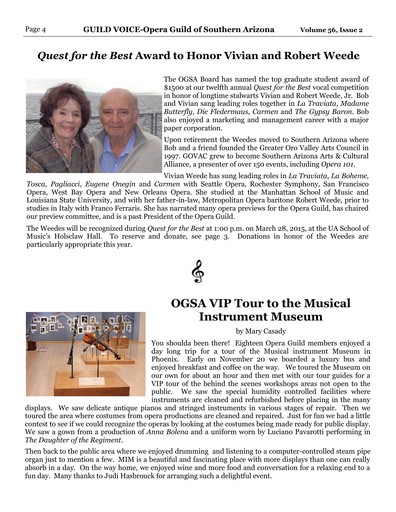# *Quest for the Best* **Award to Honor Vivian and Robert Weede**



The OGSA Board has named the top graduate student award of \$1500 at our twelfth annual *Quest for the Best* vocal competition in honor of longtime stalwarts Vivian and Robert Weede, Jr. Bob and Vivian sang leading roles together in *La Traviata*, *Madame Butterfly*, *Die Fledermaus*, *Carmen* and *The Gypsy Baron*. Bob also enjoyed a marketing and management career with a major paper corporation.

Upon retirement the Weedes moved to Southern Arizona where Bob and a friend founded the Greater Oro Valley Arts Council in 1997. GOVAC grew to become Southern Arizona Arts & Cultural Alliance, a presenter of over 150 events, including *Opera 101*.

Vivian Weede has sung leading roles in *La Traviata, La Boheme,* 

*Tosca, Pagliacci, Eugene Onegin* and *Carmen* with Seattle Opera, Rochester Symphony, San Francisco Opera, West Bay Opera and New Orleans Opera. She studied at the Manhattan School of Music and Louisiana State University, and with her father-in-law, Metropolitan Opera baritone Robert Weede, prior to studies in Italy with Franco Ferraris. She has narrated many opera previews for the Opera Guild, has chaired our preview committee, and is a past President of the Opera Guild.

The Weedes will be recognized during *Quest for the Best* at 1:00 p.m. on March 28, 2015, at the UA School of Music's Holsclaw Hall. To reserve and donate, see page 3. Donations in honor of the Weedes are particularly appropriate this year.





# **OGSA VIP Tour to the Musical Instrument Museum**

by Mary Casady

You shoulda been there! Eighteen Opera Guild members enjoyed a day long trip for a tour of the Musical instrument Museum in Phoenix. Early on November 20 we boarded a luxury bus and enjoyed breakfast and coffee on the way. We toured the Museum on our own for about an hour and then met with our tour guides for a VIP tour of the behind the scenes workshops areas not open to the public. We saw the special humidity controlled facilities where instruments are cleaned and refurbished before placing in the many

displays. We saw delicate antique pianos and stringed instruments in various stages of repair. Then we toured the area where costumes from opera productions are cleaned and repaired. Just for fun we had a little contest to see if we could recognize the operas by looking at the costumes being made ready for public display. We saw a gown from a production of *Anna Bolena* and a uniform worn by Luciano Pavarotti performing in *The Daughter of the Regiment*.

Then back to the public area where we enjoyed drumming and listening to a computer-controlled steam pipe organ just to mention a few. MIM is a beautiful and fascinating place with more displays than one can really absorb in a day. On the way home, we enjoyed wine and more food and conversation for a relaxing end to a fun day. Many thanks to Judi Hasbrouck for arranging such a delightful event.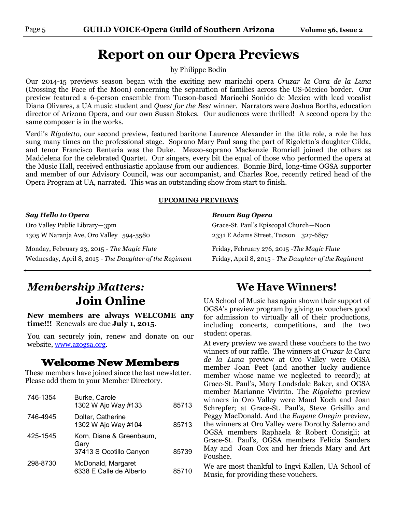# **Report on our Opera Previews**

by Philippe Bodin

Our 2014-15 previews season began with the exciting new mariachi opera *Cruzar la Cara de la Luna* (Crossing the Face of the Moon) concerning the separation of families across the US-Mexico border. Our preview featured a 6-person ensemble from Tucson-based Mariachi Sonido de Mexico with lead vocalist Diana Olivares, a UA music student and *Quest for the Best* winner. Narrators were Joshua Borths, education director of Arizona Opera, and our own Susan Stokes. Our audiences were thrilled! A second opera by the same composer is in the works.

Verdi's *Rigoletto*, our second preview, featured baritone Laurence Alexander in the title role, a role he has sung many times on the professional stage. Soprano Mary Paul sang the part of Rigoletto's daughter Gilda, and tenor Francisco Renteria was the Duke. Mezzo-soprano Mackenzie Romriell joined the others as Maddelena for the celebrated Quartet. Our singers, every bit the equal of those who performed the opera at the Music Hall, received enthusiastic applause from our audiences. Bonnie Bird, long-time OGSA supporter and member of our Advisory Council, was our accompanist, and Charles Roe, recently retired head of the Opera Program at UA, narrated. This was an outstanding show from start to finish.

#### **UPCOMING PREVIEWS**

#### *Say Hello to Opera Brown Bag Opera*

Oro Valley Public Library—3pm Grace-St. Paul's Episcopal Church—Noon 1305 W Naranja Ave, Oro Valley 594-5580 2331 E Adams Street, Tucson 327-6857

Monday, February 23, 2015 - *The Magic Flute* Friday, February 276, 2015 -*The Magic Flute* Wednesday, April 8, 2015 - *The Daughter of the Regiment* Friday, April 8, 2015 - *The Daughter of the Regiment*

# *Membership Matters:* **Join Online**

**New members are always WELCOME any time!!!** Renewals are due **July 1, 2015**.

You can securely join, renew and donate on our website, [www.azogsa.org.](http://www.azogsa.org)

### **Welcome New Members**

These members have joined since the last newsletter. Please add them to your Member Directory.

| 746-1354 | Burke, Carole<br>1302 W Ajo Way #133                        | 85713 |
|----------|-------------------------------------------------------------|-------|
| 746-4945 | Dolter, Catherine<br>1302 W Ajo Way #104                    | 85713 |
| 425-1545 | Korn, Diane & Greenbaum,<br>Gary<br>37413 S Ocotillo Canyon | 85739 |
| 298-8730 | McDonald, Margaret<br>6338 E Calle de Alberto               | 85710 |

## **We Have Winners!**

UA School of Music has again shown their support of OGSA's preview program by giving us vouchers good for admission to virtually all of their productions, including concerts, competitions, and the two student operas.

At every preview we award these vouchers to the two winners of our raffle. The winners at *Cruzar la Cara de la Luna* preview at Oro Valley were OGSA member Joan Peet (and another lucky audience member whose name we neglected to record); at Grace-St. Paul's, Mary Londsdale Baker, and OGSA member Marianne Vivirito. The *Rigoletto* preview winners in Oro Valley were Maud Koch and Joan Schrepfer; at Grace-St. Paul's, Steve Grisillo and Peggy MacDonald. And the *Eugene Onegin* preview, the winners at Oro Valley were Dorothy Salerno and OGSA members Raphaela & Robert Consigli; at Grace-St. Paul's, OGSA members Felicia Sanders May and Joan Cox and her friends Mary and Art Foushee.

We are most thankful to Ingvi Kallen, UA School of Music, for providing these vouchers.